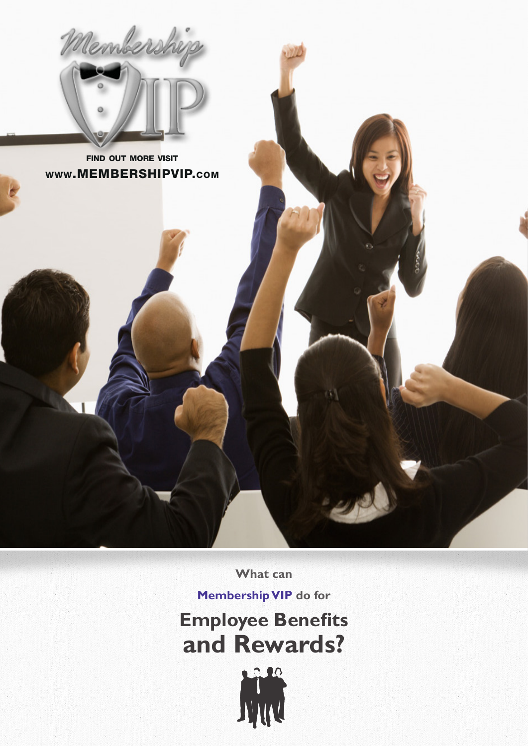

find out more visit www.MEMBERSHIPVIP.com

**What can** 

**Membership VIP do for Employee Benefits**

**and Rewards?**